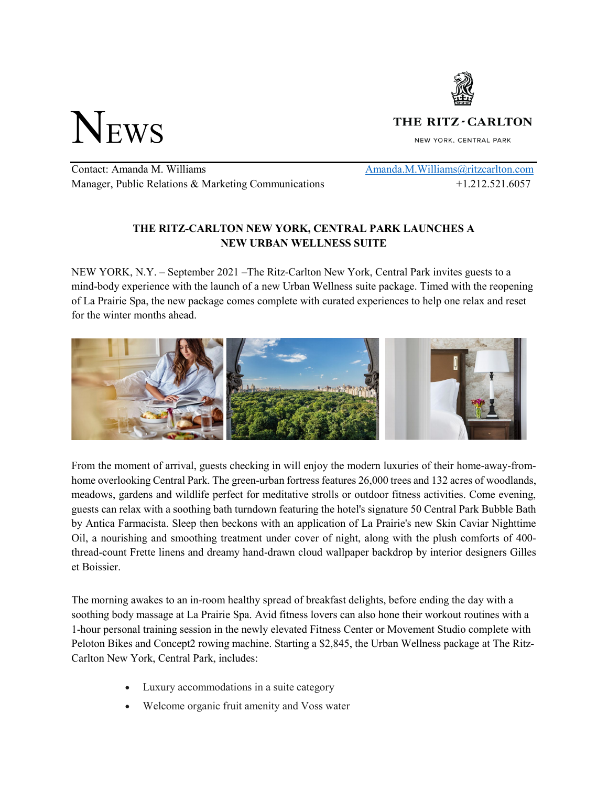

NEWS

THE RITZ - CARLTON

NEW YORK, CENTRAL PARK

Contact: Amanda M. Williams Amanda.M. Williams Amanda.M. Williams Aritzcarlton.com Manager, Public Relations & Marketing Communications  $+1.212.521.6057$ 

## **THE RITZ-CARLTON NEW YORK, CENTRAL PARK LAUNCHES A NEW URBAN WELLNESS SUITE**

NEW YORK, N.Y. – September 2021 –The Ritz-Carlton New York, Central Park invites guests to a mind-body experience with the launch of a new Urban Wellness suite package. Timed with the reopening of La Prairie Spa, the new package comes complete with curated experiences to help one relax and reset for the winter months ahead.



From the moment of arrival, guests checking in will enjoy the modern luxuries of their home-away-fromhome overlooking Central Park. The green-urban fortress features 26,000 trees and 132 acres of woodlands, meadows, gardens and wildlife perfect for meditative strolls or outdoor fitness activities. Come evening, guests can relax with a soothing bath turndown featuring the hotel's signature 50 Central Park Bubble Bath by Antica Farmacista. Sleep then beckons with an application of La Prairie's new Skin Caviar Nighttime Oil, a nourishing and smoothing treatment under cover of night, along with the plush comforts of 400 thread-count Frette linens and dreamy hand-drawn cloud wallpaper backdrop by interior designers Gilles et Boissier.

The morning awakes to an in-room healthy spread of breakfast delights, before ending the day with a soothing body massage at La Prairie Spa. Avid fitness lovers can also hone their workout routines with a 1-hour personal training session in the newly elevated Fitness Center or Movement Studio complete with Peloton Bikes and Concept2 rowing machine. Starting a \$2,845, the Urban Wellness package at The Ritz-Carlton New York, Central Park, includes:

- Luxury accommodations in a suite category
- Welcome organic fruit amenity and Voss water